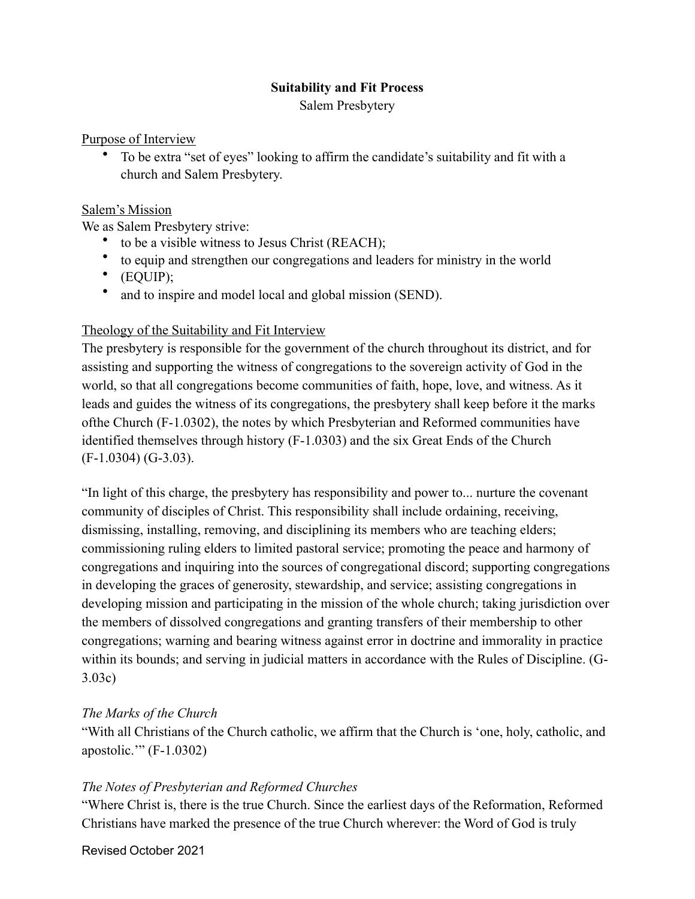#### **Suitability and Fit Process**

Salem Presbytery

#### Purpose of Interview

• To be extra "set of eyes" looking to affirm the candidate's suitability and fit with a church and Salem Presbytery.

#### Salem's Mission

We as Salem Presbytery strive:

- to be a visible witness to Jesus Christ (REACH);
- to equip and strengthen our congregations and leaders for ministry in the world
- (EQUIP);
- and to inspire and model local and global mission (SEND).

## Theology of the Suitability and Fit Interview

The presbytery is responsible for the government of the church throughout its district, and for assisting and supporting the witness of congregations to the sovereign activity of God in the world, so that all congregations become communities of faith, hope, love, and witness. As it leads and guides the witness of its congregations, the presbytery shall keep before it the marks ofthe Church (F-1.0302), the notes by which Presbyterian and Reformed communities have identified themselves through history (F-1.0303) and the six Great Ends of the Church (F-1.0304) (G-3.03).

"In light of this charge, the presbytery has responsibility and power to... nurture the covenant community of disciples of Christ. This responsibility shall include ordaining, receiving, dismissing, installing, removing, and disciplining its members who are teaching elders; commissioning ruling elders to limited pastoral service; promoting the peace and harmony of congregations and inquiring into the sources of congregational discord; supporting congregations in developing the graces of generosity, stewardship, and service; assisting congregations in developing mission and participating in the mission of the whole church; taking jurisdiction over the members of dissolved congregations and granting transfers of their membership to other congregations; warning and bearing witness against error in doctrine and immorality in practice within its bounds; and serving in judicial matters in accordance with the Rules of Discipline. (G-3.03c)

## *The Marks of the Church*

"With all Christians of the Church catholic, we affirm that the Church is 'one, holy, catholic, and apostolic.'" (F-1.0302)

## *The Notes of Presbyterian and Reformed Churches*

"Where Christ is, there is the true Church. Since the earliest days of the Reformation, Reformed Christians have marked the presence of the true Church wherever: the Word of God is truly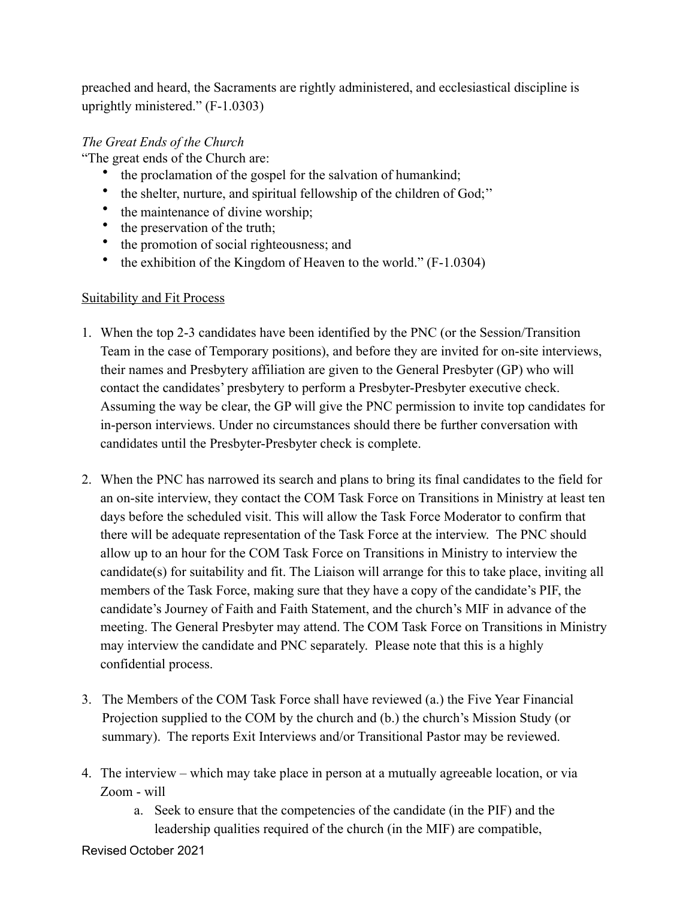preached and heard, the Sacraments are rightly administered, and ecclesiastical discipline is uprightly ministered." (F-1.0303)

# *The Great Ends of the Church*

"The great ends of the Church are:

- the proclamation of the gospel for the salvation of humankind;
- the shelter, nurture, and spiritual fellowship of the children of God;''
- the maintenance of divine worship;<br>• the preservation of the truth:
- the preservation of the truth;
- the promotion of social righteousness; and
- the exhibition of the Kingdom of Heaven to the world." (F-1.0304)

### Suitability and Fit Process

- 1. When the top 2-3 candidates have been identified by the PNC (or the Session/Transition Team in the case of Temporary positions), and before they are invited for on-site interviews, their names and Presbytery affiliation are given to the General Presbyter (GP) who will contact the candidates' presbytery to perform a Presbyter-Presbyter executive check. Assuming the way be clear, the GP will give the PNC permission to invite top candidates for in-person interviews. Under no circumstances should there be further conversation with candidates until the Presbyter-Presbyter check is complete.
- 2. When the PNC has narrowed its search and plans to bring its final candidates to the field for an on-site interview, they contact the COM Task Force on Transitions in Ministry at least ten days before the scheduled visit. This will allow the Task Force Moderator to confirm that there will be adequate representation of the Task Force at the interview. The PNC should allow up to an hour for the COM Task Force on Transitions in Ministry to interview the candidate(s) for suitability and fit. The Liaison will arrange for this to take place, inviting all members of the Task Force, making sure that they have a copy of the candidate's PIF, the candidate's Journey of Faith and Faith Statement, and the church's MIF in advance of the meeting. The General Presbyter may attend. The COM Task Force on Transitions in Ministry may interview the candidate and PNC separately. Please note that this is a highly confidential process.
- 3. The Members of the COM Task Force shall have reviewed (a.) the Five Year Financial Projection supplied to the COM by the church and (b.) the church's Mission Study (or summary). The reports Exit Interviews and/or Transitional Pastor may be reviewed.
- 4. The interview which may take place in person at a mutually agreeable location, or via Zoom - will
	- a. Seek to ensure that the competencies of the candidate (in the PIF) and the leadership qualities required of the church (in the MIF) are compatible,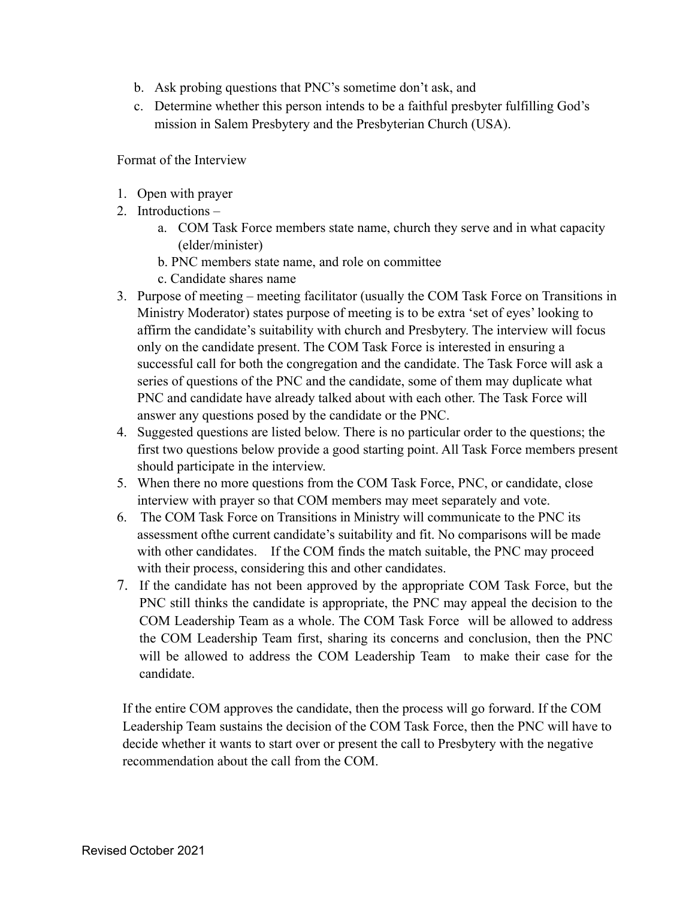- b. Ask probing questions that PNC's sometime don't ask, and
- c. Determine whether this person intends to be a faithful presbyter fulfilling God's mission in Salem Presbytery and the Presbyterian Church (USA).

Format of the Interview

- 1. Open with prayer
- 2. Introductions
	- a. COM Task Force members state name, church they serve and in what capacity (elder/minister)
	- b. PNC members state name, and role on committee
	- c. Candidate shares name
- 3. Purpose of meeting meeting facilitator (usually the COM Task Force on Transitions in Ministry Moderator) states purpose of meeting is to be extra 'set of eyes' looking to affirm the candidate's suitability with church and Presbytery. The interview will focus only on the candidate present. The COM Task Force is interested in ensuring a successful call for both the congregation and the candidate. The Task Force will ask a series of questions of the PNC and the candidate, some of them may duplicate what PNC and candidate have already talked about with each other. The Task Force will answer any questions posed by the candidate or the PNC.
- 4. Suggested questions are listed below. There is no particular order to the questions; the first two questions below provide a good starting point. All Task Force members present should participate in the interview.
- 5. When there no more questions from the COM Task Force, PNC, or candidate, close interview with prayer so that COM members may meet separately and vote.
- 6. The COM Task Force on Transitions in Ministry will communicate to the PNC its assessment ofthe current candidate's suitability and fit. No comparisons will be made with other candidates. If the COM finds the match suitable, the PNC may proceed with their process, considering this and other candidates.
- 7. If the candidate has not been approved by the appropriate COM Task Force, but the PNC still thinks the candidate is appropriate, the PNC may appeal the decision to the COM Leadership Team as a whole. The COM Task Force will be allowed to address the COM Leadership Team first, sharing its concerns and conclusion, then the PNC will be allowed to address the COM Leadership Team to make their case for the candidate.

If the entire COM approves the candidate, then the process will go forward. If the COM Leadership Team sustains the decision of the COM Task Force, then the PNC will have to decide whether it wants to start over or present the call to Presbytery with the negative recommendation about the call from the COM.